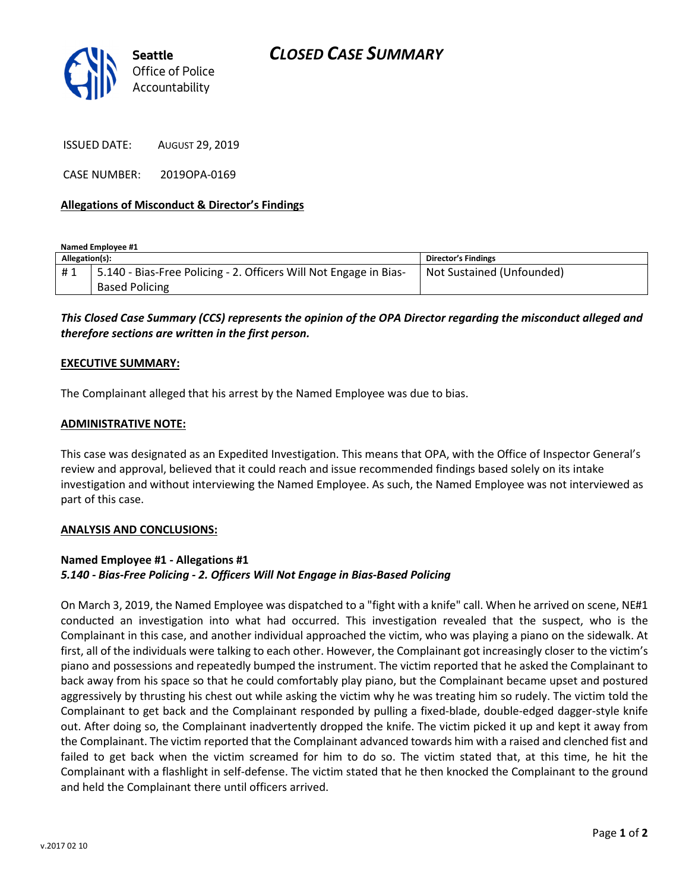

ISSUED DATE: AUGUST 29, 2019

CASE NUMBER: 2019OPA-0169

# Allegations of Misconduct & Director's Findings

Named Employee #1

| Allegation(s): |                                                                   | <b>Director's Findings</b> |
|----------------|-------------------------------------------------------------------|----------------------------|
| #1             | 5.140 - Bias-Free Policing - 2. Officers Will Not Engage in Bias- | Not Sustained (Unfounded)  |
|                | <b>Based Policing</b>                                             |                            |

This Closed Case Summary (CCS) represents the opinion of the OPA Director regarding the misconduct alleged and therefore sections are written in the first person.

### EXECUTIVE SUMMARY:

The Complainant alleged that his arrest by the Named Employee was due to bias.

# ADMINISTRATIVE NOTE:

This case was designated as an Expedited Investigation. This means that OPA, with the Office of Inspector General's review and approval, believed that it could reach and issue recommended findings based solely on its intake investigation and without interviewing the Named Employee. As such, the Named Employee was not interviewed as part of this case.

### ANALYSIS AND CONCLUSIONS:

# Named Employee #1 - Allegations #1 5.140 - Bias-Free Policing - 2. Officers Will Not Engage in Bias-Based Policing

On March 3, 2019, the Named Employee was dispatched to a "fight with a knife" call. When he arrived on scene, NE#1 conducted an investigation into what had occurred. This investigation revealed that the suspect, who is the Complainant in this case, and another individual approached the victim, who was playing a piano on the sidewalk. At first, all of the individuals were talking to each other. However, the Complainant got increasingly closer to the victim's piano and possessions and repeatedly bumped the instrument. The victim reported that he asked the Complainant to back away from his space so that he could comfortably play piano, but the Complainant became upset and postured aggressively by thrusting his chest out while asking the victim why he was treating him so rudely. The victim told the Complainant to get back and the Complainant responded by pulling a fixed-blade, double-edged dagger-style knife out. After doing so, the Complainant inadvertently dropped the knife. The victim picked it up and kept it away from the Complainant. The victim reported that the Complainant advanced towards him with a raised and clenched fist and failed to get back when the victim screamed for him to do so. The victim stated that, at this time, he hit the Complainant with a flashlight in self-defense. The victim stated that he then knocked the Complainant to the ground and held the Complainant there until officers arrived.